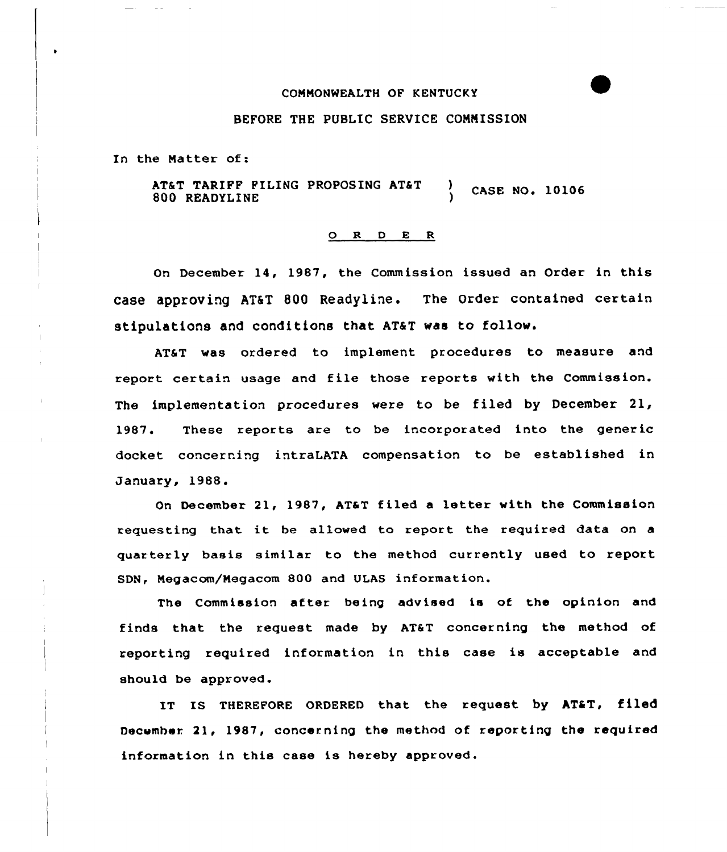## COMMONWEALTH OF KENTUCKY

## BEFORE THE PUBLIC SERVICE COMMISSION

In the Matter of:

AT&T TARIFF FILING PROPOSING AT&T 800 READYLINE  $\,$  CASE NO. 10106

## 0 R <sup>D</sup> 8 R

On December 14, 1987, the Commission issued an Order in this case approving AT&I 800 Readyline. The Order contained certain stipulations and conditions that AT&T was to follow.

AT&T was ordered to implement procedures to measure and report certain usage and file those reports with the Commission. The implementation procedures were to be filed by December 21, 1987. These reports are to be incorporated into the generic docket concerning intraLATA compensation to be established in January, 1988.

On December 21, 1987, AT&T filed a letter with the Commission requesting that it be allowed to report the required data on <sup>a</sup> quarterly basis similar to the method currently used to report SDN, Megacom/Megacom 800 and ULAS information.

The Commission after being advised is of the opinion and finds that the request made by AT&T concerning the method of reporting required information in this case is acceptable and should be approved.

IT IS THEREFORE ORDERED that the request by AT&T, filed Decemhar 21, 1987, concerning the method of reporting the required information in this case is hereby approved.